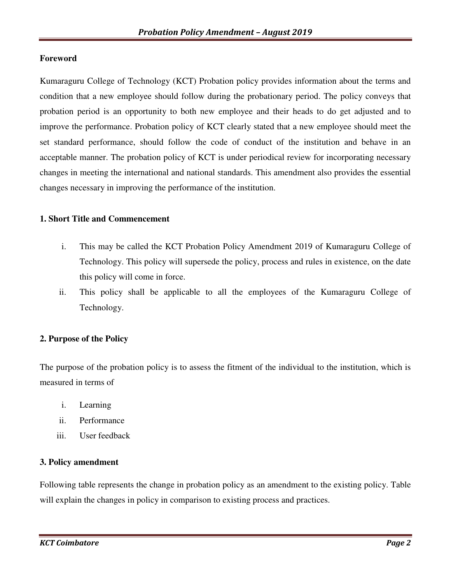### **Foreword**

Kumaraguru College of Technology (KCT) Probation policy provides information about the terms and condition that a new employee should follow during the probationary period. The policy conveys that probation period is an opportunity to both new employee and their heads to do get adjusted and to improve the performance. Probation policy of KCT clearly stated that a new employee should meet the set standard performance, should follow the code of conduct of the institution and behave in an acceptable manner. The probation policy of KCT is under periodical review for incorporating necessary changes in meeting the international and national standards. This amendment also provides the essential changes necessary in improving the performance of the institution.

### **1. Short Title and Commencement**

- i. This may be called the KCT Probation Policy Amendment 2019 of Kumaraguru College of Technology. This policy will supersede the policy, process and rules in existence, on the date this policy will come in force.
- ii. This policy shall be applicable to all the employees of the Kumaraguru College of Technology.

### **2. Purpose of the Policy**

The purpose of the probation policy is to assess the fitment of the individual to the institution, which is measured in terms of

- i. Learning
- ii. Performance
- iii. User feedback

### **3. Policy amendment**

Following table represents the change in probation policy as an amendment to the existing policy. Table will explain the changes in policy in comparison to existing process and practices.